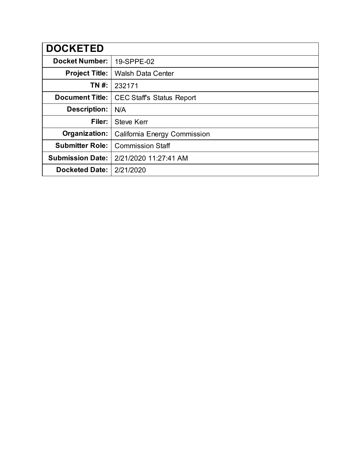| <b>DOCKETED</b>         |                                 |
|-------------------------|---------------------------------|
| <b>Docket Number:</b>   | 19-SPPE-02                      |
| <b>Project Title:</b>   | <b>Walsh Data Center</b>        |
| TN #:                   | 232171                          |
| <b>Document Title:</b>  | <b>CEC Staffs Status Report</b> |
| <b>Description:</b>     | N/A                             |
| Filer:                  | <b>Steve Kerr</b>               |
| Organization:           | California Energy Commission    |
| <b>Submitter Role:</b>  | <b>Commission Staff</b>         |
| <b>Submission Date:</b> | 2/21/2020 11:27:41 AM           |
| <b>Docketed Date:</b>   | 2/21/2020                       |